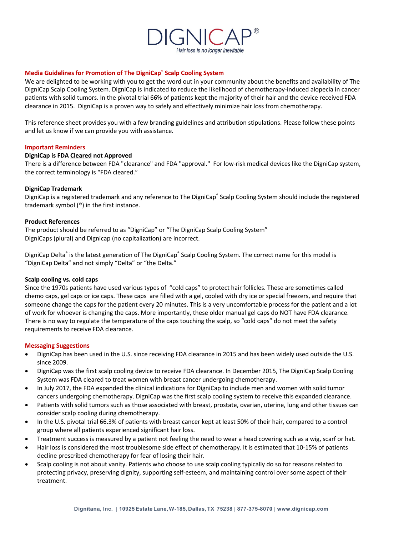

# **Media Guidelines for Promotion of The DigniCap**® **Scalp Cooling System**

We are delighted to be working with you to get the word out in your community about the benefits and availability of The DigniCap Scalp Cooling System. DigniCap is indicated to reduce the likelihood of chemotherapy-induced alopecia in cancer patients with solid tumors. In the pivotal trial 66% of patients kept the majority of their hair and the device received FDA clearance in 2015. DigniCap is a proven way to safely and effectively minimize hair loss from chemotherapy.

This reference sheet provides you with a few branding guidelines and attribution stipulations. Please follow these points and let us know if we can provide you with assistance.

### **Important Reminders**

### **DigniCap is FDA Cleared not Approved**

There is a difference between FDA "clearance" and FDA "approval." For low-risk medical devices like the DigniCap system, the correct terminology is "FDA cleared."

## **DigniCap Trademark**

DigniCap is a registered trademark and any reference to The DigniCap® Scalp Cooling System should include the registered trademark symbol (®) in the first instance.

### **Product References**

The product should be referred to as "DigniCap" or "The DigniCap Scalp Cooling System" DigniCaps (plural) and Dignicap (no capitalization) are incorrect.

DigniCap Delta<sup>®</sup> is the latest generation of The DigniCap® Scalp Cooling System. The correct name for this model is "DigniCap Delta" and not simply "Delta" or "the Delta."

### **Scalp cooling vs. cold caps**

Since the 1970s patients have used various types of "cold caps" to protect hair follicles. These are sometimes called chemo caps, gel caps or ice caps. These caps are filled with a gel, cooled with dry ice or special freezers, and require that someone change the caps for the patient every 20 minutes. This is a very uncomfortable process for the patient and a lot of work for whoever is changing the caps. More importantly, these older manual gel caps do NOT have FDA clearance. There is no way to regulate the temperature of the caps touching the scalp, so "cold caps" do not meet the safety requirements to receive FDA clearance.

#### **Messaging Suggestions**

- DigniCap has been used in the U.S. since receiving FDA clearance in 2015 and has been widely used outside the U.S. since 2009.
- DigniCap was the first scalp cooling device to receive FDA clearance. In December 2015, The DigniCap Scalp Cooling System was FDA cleared to treat women with breast cancer undergoing chemotherapy.
- In July 2017, the FDA expanded the clinical indications for DigniCap to include men and women with solid tumor cancers undergoing chemotherapy. DigniCap was the first scalp cooling system to receive this expanded clearance.
- Patients with solid tumors such as those associated with breast, prostate, ovarian, uterine, lung and other tissues can consider scalp cooling during chemotherapy.
- In the U.S. pivotal trial 66.3% of patients with breast cancer kept at least 50% of their hair, compared to a control group where all patients experienced significant hair loss.
- Treatment success is measured by a patient not feeling the need to wear a head covering such as a wig, scarf or hat.
- Hair loss is considered the most troublesome side effect of chemotherapy. It is estimated that 10-15% of patients decline prescribed chemotherapy for fear of losing their hair.
- Scalp cooling is not about vanity. Patients who choose to use scalp cooling typically do so for reasons related to protecting privacy, preserving dignity, supporting self-esteem, and maintaining control over some aspect of their treatment.